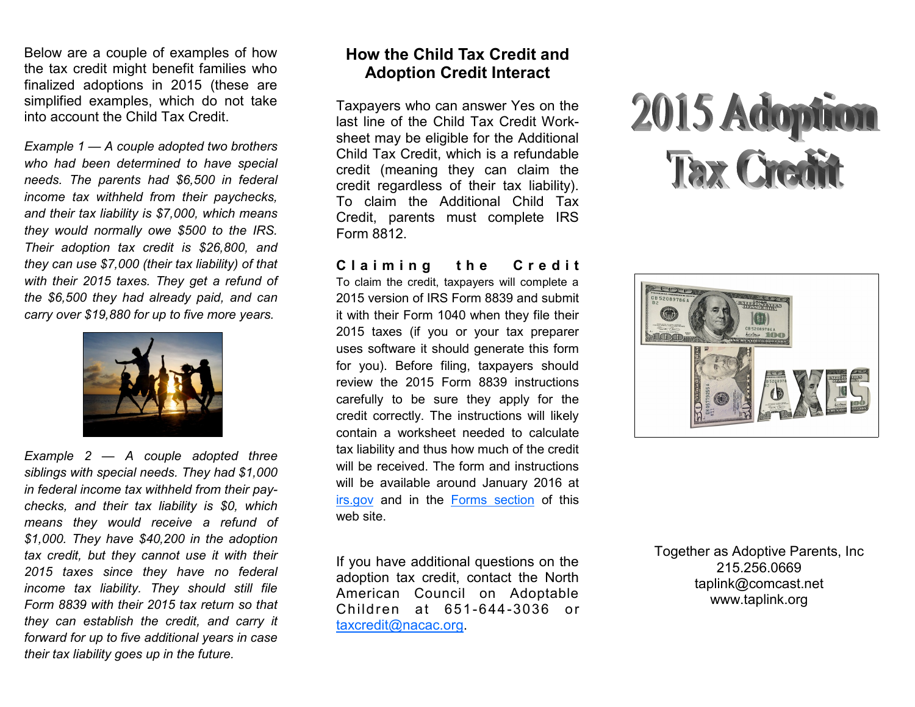Below are a couple of examples of how the tax credit might benefit families who finalized adoptions in 2015 (these are simplified examples, which do not take into account the Child Tax Credit.

*Example 1 — A couple adopted two brothers who had been determined to have special needs. The parents had \$6,500 in federal income tax withheld from their paychecks, and their tax liability is \$7,000, which means they would normally owe \$500 to the IRS. Their adoption tax credit is \$26,800, and they can use \$7,000 (their tax liability) of that with their 2015 taxes. They get a refund of the \$6,500 they had already paid, and can carry over \$19,880 for up to five more years.*



*Example 2 — A couple adopted three siblings with special needs. They had \$1,000 in federal income tax withheld from their paychecks, and their tax liability is \$0, which means they would receive a refund of \$1,000. They have \$40,200 in the adoption tax credit, but they cannot use it with their 2015 taxes since they have no federal income tax liability. They should still file Form 8839 with their 2015 tax return so that they can establish the credit, and carry it forward for up to five additional years in case their tax liability goes up in the future.*

### **How the Child Tax Credit and Adoption Credit Interact**

Taxpayers who can answer Yes on the last line of the Child Tax Credit Worksheet may be eligible for the Additional Child Tax Credit, which is a refundable credit (meaning they can claim the credit regardless of their tax liability). To claim the Additional Child Tax Credit, parents must complete IRS Form 8812.

**C l a i m i n g t h e C r e d i t** To claim the credit, taxpayers will complete a 2015 version of IRS Form 8839 and submit it with their Form 1040 when they file their 2015 taxes (if you or your tax preparer uses software it should generate this form for you). Before filing, taxpayers should review the 2015 Form 8839 instructions carefully to be sure they apply for the credit correctly. The instructions will likely

contain a worksheet needed to calculate tax liability and thus how much of the credit will be received. The form and instructions will be available around January 2016 at [irs.gov](http://www.irs.gov/) and in the [Forms section](https://www.nacac.org/taxcredit/forms.html) of this web site.

If you have additional questions on the adoption tax credit, contact the North American Council on Adoptable Children at 651-644-3036 or [taxcredit@nacac.org.](mailto:taxcredit@nacac.org)





Together as Adoptive Parents, Inc 215.256.0669 taplink@comcast.net www.taplink.org